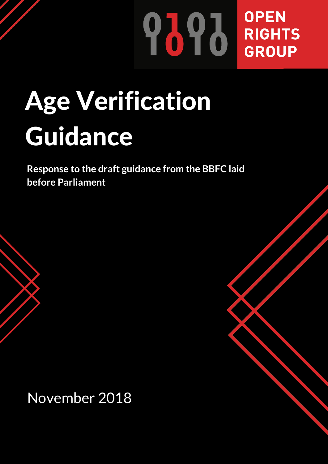## **OPEN PAPE BROUP** GROUP

# Age Verification Guidance

**Response to the draft guidance from the BBFC laid before Parliament**

November 2018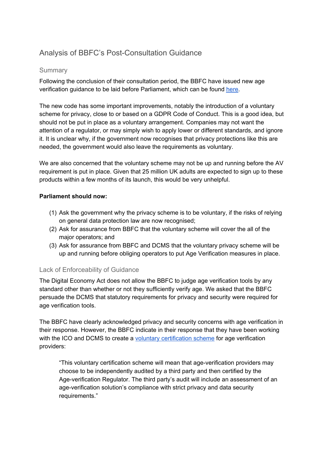### Analysis of BBFC's Post-Consultation Guidance

#### **Summary**

Following the conclusion of their consultation period, the BBFC have issued new age verification guidance to be laid before Parliament, which can be found [here](https://www.ageverificationregulator.com/industry/guidance).

The new code has some important improvements, notably the introduction of a voluntary scheme for privacy, close to or based on a GDPR Code of Conduct. This is a good idea, but should not be put in place as a voluntary arrangement. Companies may not want the attention of a regulator, or may simply wish to apply lower or different standards, and ignore it. It is unclear why, if the government now recognises that privacy protections like this are needed, the government would also leave the requirements as voluntary.

We are also concerned that the voluntary scheme may not be up and running before the AV requirement is put in place. Given that 25 million UK adults are expected to sign up to these products within a few months of its launch, this would be very unhelpful.

#### **Parliament should now:**

- (1) Ask the government why the privacy scheme is to be voluntary, if the risks of relying on general data protection law are now recognised;
- (2) Ask for assurance from BBFC that the voluntary scheme will cover the all of the major operators; and
- (3) Ask for assurance from BBFC and DCMS that the voluntary privacy scheme will be up and running before obliging operators to put Age Verification measures in place.

#### Lack of Enforceability of Guidance

The Digital Economy Act does not allow the BBFC to judge age verification tools by any standard other than whether or not they sufficiently verify age. We asked that the BBFC persuade the DCMS that statutory requirements for privacy and security were required for age verification tools.

The BBFC have clearly acknowledged privacy and security concerns with age verification in their response. However, the BBFC indicate in their response that they have been working with the ICO and DCMS to create a voluntary [certification](https://www.ageverificationregulator.com/av-certification) scheme for age verification providers:

"This voluntary certification scheme will mean that age-verification providers may choose to be independently audited by a third party and then certified by the Age-verification Regulator. The third party's audit will include an assessment of an age-verification solution's compliance with strict privacy and data security requirements."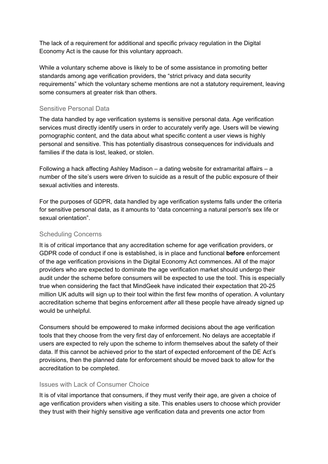The lack of a requirement for additional and specific privacy regulation in the Digital Economy Act is the cause for this voluntary approach.

While a voluntary scheme above is likely to be of some assistance in promoting better standards among age verification providers, the "strict privacy and data security requirements" which the voluntary scheme mentions are not a statutory requirement, leaving some consumers at greater risk than others.

#### Sensitive Personal Data

The data handled by age verification systems is sensitive personal data. Age verification services must directly identify users in order to accurately verify age. Users will be viewing pornographic content, and the data about what specific content a user views is highly personal and sensitive. This has potentially disastrous consequences for individuals and families if the data is lost, leaked, or stolen.

Following a hack affecting Ashley Madison – a dating website for extramarital affairs – a number of the site's users were driven to suicide as a result of the public exposure of their sexual activities and interests.

For the purposes of GDPR, data handled by age verification systems falls under the criteria for sensitive personal data, as it amounts to "data concerning a natural person's sex life or sexual orientation".

#### Scheduling Concerns

It is of critical importance that any accreditation scheme for age verification providers, or GDPR code of conduct if one is established, is in place and functional **before** enforcement of the age verification provisions in the Digital Economy Act commences. All of the major providers who are expected to dominate the age verification market should undergo their audit under the scheme before consumers will be expected to use the tool. This is especially true when considering the fact that MindGeek have indicated their expectation that 20-25 million UK adults will sign up to their tool within the first few months of operation. A voluntary accreditation scheme that begins enforcement *after* all these people have already signed up would be unhelpful.

Consumers should be empowered to make informed decisions about the age verification tools that they choose from the very first day of enforcement. No delays are acceptable if users are expected to rely upon the scheme to inform themselves about the safety of their data. If this cannot be achieved prior to the start of expected enforcement of the DE Act's provisions, then the planned date for enforcement should be moved back to allow for the accreditation to be completed.

#### Issues with Lack of Consumer Choice

It is of vital importance that consumers, if they must verify their age, are given a choice of age verification providers when visiting a site. This enables users to choose which provider they trust with their highly sensitive age verification data and prevents one actor from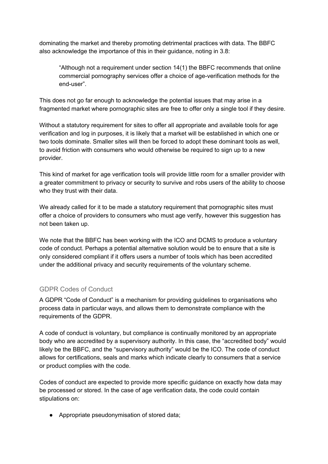dominating the market and thereby promoting detrimental practices with data. The BBFC also acknowledge the importance of this in their guidance, noting in 3.8:

"Although not a requirement under section 14(1) the BBFC recommends that online commercial pornography services offer a choice of age-verification methods for the end-user".

This does not go far enough to acknowledge the potential issues that may arise in a fragmented market where pornographic sites are free to offer only a single tool if they desire.

Without a statutory requirement for sites to offer all appropriate and available tools for age verification and log in purposes, it is likely that a market will be established in which one or two tools dominate. Smaller sites will then be forced to adopt these dominant tools as well, to avoid friction with consumers who would otherwise be required to sign up to a new provider.

This kind of market for age verification tools will provide little room for a smaller provider with a greater commitment to privacy or security to survive and robs users of the ability to choose who they trust with their data.

We already called for it to be made a statutory requirement that pornographic sites must offer a choice of providers to consumers who must age verify, however this suggestion has not been taken up.

We note that the BBFC has been working with the ICO and DCMS to produce a voluntary code of conduct. Perhaps a potential alternative solution would be to ensure that a site is only considered compliant if it offers users a number of tools which has been accredited under the additional privacy and security requirements of the voluntary scheme.

#### GDPR Codes of Conduct

A GDPR "Code of Conduct" is a mechanism for providing guidelines to organisations who process data in particular ways, and allows them to demonstrate compliance with the requirements of the GDPR.

A code of conduct is voluntary, but compliance is continually monitored by an appropriate body who are accredited by a supervisory authority. In this case, the "accredited body" would likely be the BBFC, and the "supervisory authority" would be the ICO. The code of conduct allows for certifications, seals and marks which indicate clearly to consumers that a service or product complies with the code.

Codes of conduct are expected to provide more specific guidance on exactly how data may be processed or stored. In the case of age verification data, the code could contain stipulations on:

● Appropriate pseudonymisation of stored data;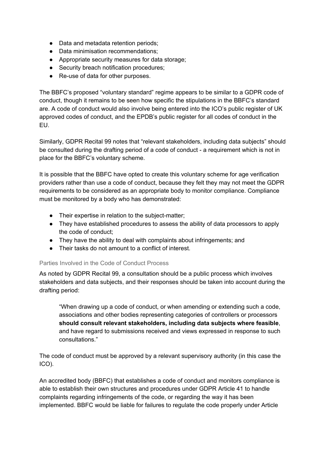- Data and metadata retention periods;
- Data minimisation recommendations:
- Appropriate security measures for data storage;
- Security breach notification procedures;
- Re-use of data for other purposes.

The BBFC's proposed "voluntary standard" regime appears to be similar to a GDPR code of conduct, though it remains to be seen how specific the stipulations in the BBFC's standard are. A code of conduct would also involve being entered into the ICO's public register of UK approved codes of conduct, and the EPDB's public register for all codes of conduct in the EU.

Similarly, GDPR Recital 99 notes that "relevant stakeholders, including data subjects" should be consulted during the drafting period of a code of conduct - a requirement which is not in place for the BBFC's voluntary scheme.

It is possible that the BBFC have opted to create this voluntary scheme for age verification providers rather than use a code of conduct, because they felt they may not meet the GDPR requirements to be considered as an appropriate body to monitor compliance. Compliance must be monitored by a body who has demonstrated:

- Their expertise in relation to the subject-matter;
- They have established procedures to assess the ability of data processors to apply the code of conduct;
- They have the ability to deal with complaints about infringements; and
- Their tasks do not amount to a conflict of interest.

#### Parties Involved in the Code of Conduct Process

As noted by GDPR Recital 99, a consultation should be a public process which involves stakeholders and data subjects, and their responses should be taken into account during the drafting period:

"When drawing up a code of conduct, or when amending or extending such a code, associations and other bodies representing categories of controllers or processors **should consult relevant stakeholders, including data subjects where feasible**, and have regard to submissions received and views expressed in response to such consultations."

The code of conduct must be approved by a relevant supervisory authority (in this case the ICO).

An accredited body (BBFC) that establishes a code of conduct and monitors compliance is able to establish their own structures and procedures under GDPR Article 41 to handle complaints regarding infringements of the code, or regarding the way it has been implemented. BBFC would be liable for failures to regulate the code properly under Article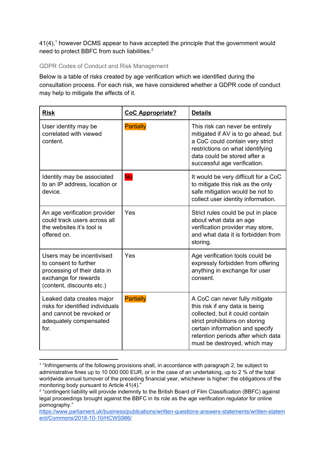$41(4)$ ,<sup>1</sup> however DCMS appear to have accepted the principle that the government would need to protect BBFC from such liabilities.<sup>2</sup>

#### GDPR Codes of Conduct and Risk Management

Below is a table of risks created by age verification which we identified during the consultation process. For each risk, we have considered whether a GDPR code of conduct may help to mitigate the effects of it.

| <b>Risk</b>                                                                                                                            | <b>CoC Appropriate?</b> | <b>Details</b>                                                                                                                                                                                                                                 |
|----------------------------------------------------------------------------------------------------------------------------------------|-------------------------|------------------------------------------------------------------------------------------------------------------------------------------------------------------------------------------------------------------------------------------------|
| User identity may be<br>correlated with viewed<br>content.                                                                             | <b>Partially</b>        | This risk can never be entirely<br>mitigated if AV is to go ahead, but<br>a CoC could contain very strict<br>restrictions on what identifying<br>data could be stored after a<br>successful age verification.                                  |
| Identity may be associated<br>to an IP address, location or<br>device.                                                                 | <b>No</b>               | It would be very difficult for a CoC<br>to mitigate this risk as the only<br>safe mitigation would be not to<br>collect user identity information.                                                                                             |
| An age verification provider<br>could track users across all<br>the websites it's tool is<br>offered on.                               | Yes                     | Strict rules could be put in place<br>about what data an age<br>verification provider may store,<br>and what data it is forbidden from<br>storing.                                                                                             |
| Users may be incentivised<br>to consent to further<br>processing of their data in<br>exchange for rewards<br>(content, discounts etc.) | Yes                     | Age verification tools could be<br>expressly forbidden from offering<br>anything in exchange for user<br>consent.                                                                                                                              |
| Leaked data creates major<br>risks for identified individuals<br>and cannot be revoked or<br>adequately compensated<br>for.            | <b>Partially</b>        | A CoC can never fully mitigate<br>this risk if any data is being<br>collected, but it could contain<br>strict prohibitions on storing<br>certain information and specify<br>retention periods after which data<br>must be destroyed, which may |

<sup>&</sup>lt;sup>1</sup> "Infringements of the following provisions shall, in accordance with paragraph 2, be subject to administrative fines up to 10 000 000 EUR, or in the case of an undertaking, up to 2 % of the total worldwide annual turnover of the preceding financial year, whichever is higher: the obligations of the monitoring body pursuant to Article 41(4)."

<sup>&</sup>lt;sup>2</sup> "contingent liability will provide indemnity to the British Board of Film Classification (BBFC) against legal proceedings brought against the BBFC in its role as the age verification regulator for online pornography."

[https://www.parliament.uk/business/publications/written-questions-answers-statements/written-statem](https://www.parliament.uk/business/publications/written-questions-answers-statements/written-statement/Commons/2018-10-10/HCWS986/) [ent/Commons/2018-10-10/HCWS986/](https://www.parliament.uk/business/publications/written-questions-answers-statements/written-statement/Commons/2018-10-10/HCWS986/)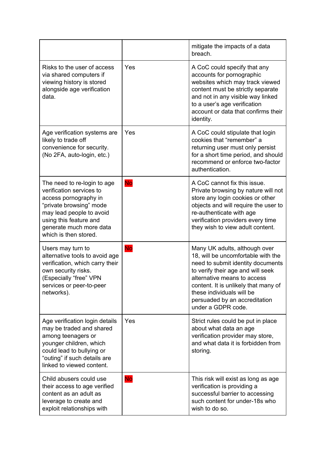|                                                                                                                                                                                                                       |           | mitigate the impacts of a data<br>breach.                                                                                                                                                                                                                                                                |
|-----------------------------------------------------------------------------------------------------------------------------------------------------------------------------------------------------------------------|-----------|----------------------------------------------------------------------------------------------------------------------------------------------------------------------------------------------------------------------------------------------------------------------------------------------------------|
| Risks to the user of access<br>via shared computers if<br>viewing history is stored<br>alongside age verification<br>data.                                                                                            | Yes       | A CoC could specify that any<br>accounts for pornographic<br>websites which may track viewed<br>content must be strictly separate<br>and not in any visible way linked<br>to a user's age verification<br>account or data that confirms their<br>identity.                                               |
| Age verification systems are<br>likely to trade off<br>convenience for security.<br>(No 2FA, auto-login, etc.)                                                                                                        | Yes       | A CoC could stipulate that login<br>cookies that "remember" a<br>returning user must only persist<br>for a short time period, and should<br>recommend or enforce two-factor<br>authentication.                                                                                                           |
| The need to re-login to age<br>verification services to<br>access pornography in<br>"private browsing" mode<br>may lead people to avoid<br>using this feature and<br>generate much more data<br>which is then stored. | <b>No</b> | A CoC cannot fix this issue.<br>Private browsing by nature will not<br>store any login cookies or other<br>objects and will require the user to<br>re-authenticate with age<br>verification providers every time<br>they wish to view adult content.                                                     |
| Users may turn to<br>alternative tools to avoid age<br>verification, which carry their<br>own security risks.<br>(Especially "free" VPN<br>services or peer-to-peer<br>networks).                                     | <b>No</b> | Many UK adults, although over<br>18, will be uncomfortable with the<br>need to submit identity documents<br>to verify their age and will seek<br>alternative means to access<br>content. It is unlikely that many of<br>these individuals will be<br>persuaded by an accreditation<br>under a GDPR code. |
| Age verification login details<br>may be traded and shared<br>among teenagers or<br>younger children, which<br>could lead to bullying or<br>"outing" if such details are<br>linked to viewed content.                 | Yes       | Strict rules could be put in place<br>about what data an age<br>verification provider may store,<br>and what data it is forbidden from<br>storing.                                                                                                                                                       |
| Child abusers could use<br>their access to age verified<br>content as an adult as<br>leverage to create and<br>exploit relationships with                                                                             | <b>No</b> | This risk will exist as long as age<br>verification is providing a<br>successful barrier to accessing<br>such content for under-18s who<br>wish to do so.                                                                                                                                                |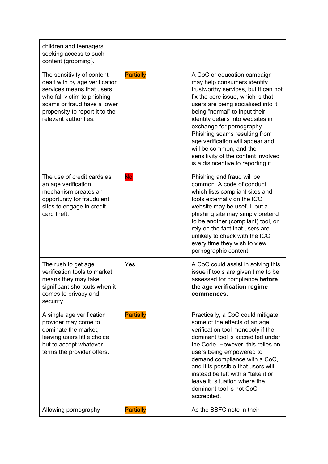| children and teenagers<br>seeking access to such<br>content (grooming).                                                                                                                                            |                  |                                                                                                                                                                                                                                                                                                                                                                                                                                                               |
|--------------------------------------------------------------------------------------------------------------------------------------------------------------------------------------------------------------------|------------------|---------------------------------------------------------------------------------------------------------------------------------------------------------------------------------------------------------------------------------------------------------------------------------------------------------------------------------------------------------------------------------------------------------------------------------------------------------------|
| The sensitivity of content<br>dealt with by age verification<br>services means that users<br>who fall victim to phishing<br>scams or fraud have a lower<br>propensity to report it to the<br>relevant authorities. | <b>Partially</b> | A CoC or education campaign<br>may help consumers identify<br>trustworthy services, but it can not<br>fix the core issue, which is that<br>users are being socialised into it<br>being "normal" to input their<br>identity details into websites in<br>exchange for pornography.<br>Phishing scams resulting from<br>age verification will appear and<br>will be common, and the<br>sensitivity of the content involved<br>is a disincentive to reporting it. |
| The use of credit cards as<br>an age verification<br>mechanism creates an<br>opportunity for fraudulent<br>sites to engage in credit<br>card theft.                                                                | <b>No</b>        | Phishing and fraud will be<br>common. A code of conduct<br>which lists compliant sites and<br>tools externally on the ICO<br>website may be useful, but a<br>phishing site may simply pretend<br>to be another (compliant) tool, or<br>rely on the fact that users are<br>unlikely to check with the ICO<br>every time they wish to view<br>pornographic content.                                                                                             |
| The rush to get age<br>verification tools to market<br>means they may take<br>significant shortcuts when it<br>comes to privacy and<br>security.                                                                   | Yes              | A CoC could assist in solving this<br>issue if tools are given time to be<br>assessed for compliance before<br>the age verification regime<br>commences.                                                                                                                                                                                                                                                                                                      |
| A single age verification<br>provider may come to<br>dominate the market,<br>leaving users little choice<br>but to accept whatever<br>terms the provider offers.                                                   | <b>Partially</b> | Practically, a CoC could mitigate<br>some of the effects of an age<br>verification tool monopoly if the<br>dominant tool is accredited under<br>the Code. However, this relies on<br>users being empowered to<br>demand compliance with a CoC,<br>and it is possible that users will<br>instead be left with a "take it or<br>leave it" situation where the<br>dominant tool is not CoC<br>accredited.                                                        |
| Allowing pornography                                                                                                                                                                                               | <b>Partially</b> | As the BBFC note in their                                                                                                                                                                                                                                                                                                                                                                                                                                     |